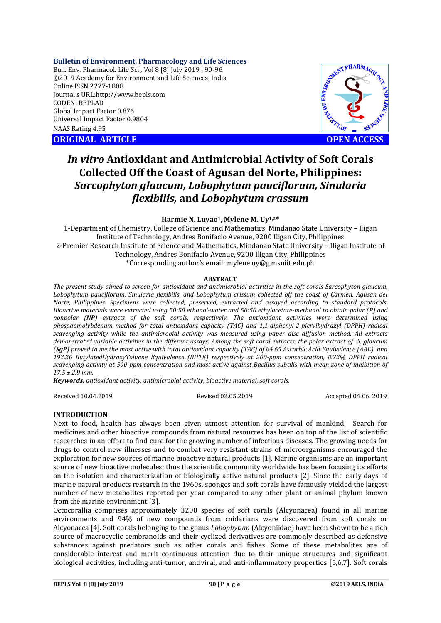## **Bulletin of Environment, Pharmacology and Life Sciences**

Bull. Env. Pharmacol. Life Sci., Vol 8 [8] July 2019 : 90-96 ©2019 Academy for Environment and Life Sciences, India Online ISSN 2277-1808 Journal's URL:http://www.bepls.com CODEN: BEPLAD Global Impact Factor 0.876 Universal Impact Factor 0.9804 NAAS Rating 4.95

**ORIGINAL ARTICLE OPEN ACCESS** 



# *In vitro* **Antioxidant and Antimicrobial Activity of Soft Corals Collected Off the Coast of Agusan del Norte, Philippines:**  *Sarcophyton glaucum, Lobophytum pauciflorum, Sinularia flexibilis,* **and** *Lobophytum crassum*

### **Harmie N. Luyao1, Mylene M. Uy1,2\***

1-Department of Chemistry, College of Science and Mathematics, Mindanao State University – Iligan Institute of Technology, Andres Bonifacio Avenue, 9200 Iligan City, Philippines 2-Premier Research Institute of Science and Mathematics, Mindanao State University – Iligan Institute of Technology, Andres Bonifacio Avenue, 9200 Iligan City, Philippines \*Corresponding author's email: mylene.uy@g.msuiit.edu.ph

#### **ABSTRACT**

*The present study aimed to screen for antioxidant and antimicrobial activities in the soft corals Sarcophyton glaucum,*  Lobophytum pauciflorum, Sinularia flexibilis, and Lobophytum crissum collected off the coast of Carmen, Agusan del *Norte, Philippines. Specimens were collected, preserved, extracted and assayed according to standard protocols. Bioactive materials were extracted using 50:50 ethanol-water and 50:50 ethylacetate-methanol to obtain polar (P) and nonpolar (NP) extracts of the soft corals, respectively. The antioxidant activities were determined using phosphomolybdenum method for total antioxidant capacity (TAC) and 1,1-diphenyl-2-picrylhydrazyl (DPPH) radical scavenging activity while the antimicrobial activity was measured using paper disc diffusion method. All extracts demonstrated variable activities in the different assays. Among the soft coral extracts, the polar extract of S. glaucum (SgP) proved to me the most active with total antioxidant capacity (TAC) of 84.65 Ascorbic Acid Equivalence (AAE) and 192.26 ButylatedHydroxyToluene Equivalence (BHTE) respectively at 200-ppm concentration, 8.22% DPPH radical scavenging activity at 500-ppm concentration and most active against Bacillus subtilis with mean zone of inhibition of 17.5 ± 2.9 mm.* 

*Keywords: antioxidant activity, antimicrobial activity, bioactive material, soft corals.*

Received 10.04.2019 Revised 02.05.2019 Accepted 04.06. 2019

#### **INTRODUCTION**

Next to food, health has always been given utmost attention for survival of mankind. Search for medicines and other bioactive compounds from natural resources has been on top of the list of scientific researches in an effort to find cure for the growing number of infectious diseases. The growing needs for drugs to control new illnesses and to combat very resistant strains of microorganisms encouraged the exploration for new sources of marine bioactive natural products [1]. Marine organisms are an important source of new bioactive molecules; thus the scientific community worldwide has been focusing its efforts on the isolation and characterization of biologically active natural products [2]. Since the early days of marine natural products research in the 1960s, sponges and soft corals have famously yielded the largest number of new metabolites reported per year compared to any other plant or animal phylum known from the marine environment [3].

Octocorallia comprises approximately 3200 species of soft corals (Alcyonacea) found in all marine environments and 94% of new compounds from cnidarians were discovered from soft corals or Alcyonacea [4]. Soft corals belonging to the genus *Lobophytum* (Alcyoniidae) have been shown to be a rich source of macrocyclic cembranoids and their cyclized derivatives are commonly described as defensive substances against predators such as other corals and fishes. Some of these metabolites are of considerable interest and merit continuous attention due to their unique structures and significant biological activities, including anti-tumor, antiviral, and anti-inflammatory properties [5,6,7]. Soft corals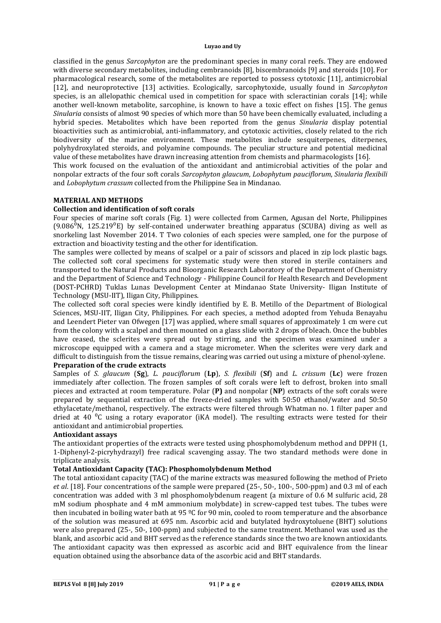classified in the genus *Sarcophyton* are the predominant species in many coral reefs. They are endowed with diverse secondary metabolites, including cembranoids [8], biscembranoids [9] and steroids [10]. For pharmacological research, some of the metabolites are reported to possess cytotoxic [11], antimicrobial [12], and neuroprotective [13] activities. Ecologically, sarcophytoxide, usually found in *Sarcophyton*  species, is an allelopathic chemical used in competition for space with scleractinian corals [14]; while another well-known metabolite, sarcophine, is known to have a toxic effect on fishes [15]. The genus *Sinularia* consists of almost 90 species of which more than 50 have been chemically evaluated, including a hybrid species. Metabolites which have been reported from the genus *Sinularia* display potential bioactivities such as antimicrobial, anti-inflammatory, and cytotoxic activities, closely related to the rich biodiversity of the marine environment. These metabolites include sesquiterpenes, diterpenes, polyhydroxylated steroids, and polyamine compounds. The peculiar structure and potential medicinal value of these metabolites have drawn increasing attention from chemists and pharmacologists [16].

This work focused on the evaluation of the antioxidant and antimicrobial activities of the polar and nonpolar extracts of the four soft corals *Sarcophyton glaucum*, *Lobophytum pauciflorum*, *Sinularia flexibili* and *Lobophytum crassum* collected from the Philippine Sea in Mindanao.

# **MATERIAL AND METHODS**

### **Collection and identification of soft corals**

Four species of marine soft corals (Fig. 1) were collected from Carmen, Agusan del Norte, Philippines  $(9.086<sup>0</sup>N, 125.219<sup>0</sup>E)$  by self-contained underwater breathing apparatus (SCUBA) diving as well as snorkeling last November 2014. T Two colonies of each species were sampled, one for the purpose of extraction and bioactivity testing and the other for identification.

The samples were collected by means of scalpel or a pair of scissors and placed in zip lock plastic bags. The collected soft coral specimens for systematic study were then stored in sterile containers and transported to the Natural Products and Bioorganic Research Laboratory of the Department of Chemistry and the Department of Science and Technology - Philippine Council for Health Research and Development (DOST-PCHRD) Tuklas Lunas Development Center at Mindanao State University- Iligan Institute of Technology (MSU-IIT), Iligan City, Philippines.

The collected soft coral species were kindly identified by E. B. Metillo of the Department of Biological Sciences, MSU-IIT, Iligan City, Philippines. For each species, a method adopted from Yehuda Benayahu and Leendert Pieter van Ofwegen [17] was applied, where small squares of approximately 1 cm were cut from the colony with a scalpel and then mounted on a glass slide with 2 drops of bleach. Once the bubbles have ceased, the sclerites were spread out by stirring, and the specimen was examined under a microscope equipped with a camera and a stage micrometer. When the sclerites were very dark and difficult to distinguish from the tissue remains, clearing was carried out using a mixture of phenol-xylene.

#### **Preparation of the crude extracts**

Samples of *S. glaucum* (**Sg**), *L. pauciflorum* (**Lp**), *S. flexibili* (**Sf**) and *L. crissum* (**Lc**) were frozen immediately after collection. The frozen samples of soft corals were left to defrost, broken into small pieces and extracted at room temperature. Polar (**P)** and nonpolar (**NP**) extracts of the soft corals were prepared by sequential extraction of the freeze-dried samples with 50:50 ethanol/water and 50:50 ethylacetate/methanol, respectively. The extracts were filtered through Whatman no. 1 filter paper and dried at 40  $\degree$ C using a rotary evaporator (iKA model). The resulting extracts were tested for their antioxidant and antimicrobial properties.

#### **Antioxidant assays**

The antioxidant properties of the extracts were tested using phosphomolybdenum method and DPPH (1, 1-Diphenyl-2-picryhydrazyl) free radical scavenging assay. The two standard methods were done in triplicate analysis.

# **Total Antioxidant Capacity (TAC): Phosphomolybdenum Method**

The total antioxidant capacity (TAC) of the marine extracts was measured following the method of Prieto *et al*. [18]. Four concentrations of the sample were prepared (25-, 50-, 100-, 500-ppm) and 0.3 ml of each concentration was added with 3 ml phosphomolybdenum reagent (a mixture of 0.6 M sulfuric acid, 28 mM sodium phosphate and 4 mM ammonium molybdate) in screw-capped test tubes. The tubes were then incubated in boiling water bath at 95 ºC for 90 min, cooled to room temperature and the absorbance of the solution was measured at 695 nm. Ascorbic acid and butylated hydroxytoluene (BHT) solutions were also prepared (25-, 50-, 100-ppm) and subjected to the same treatment. Methanol was used as the blank, and ascorbic acid and BHT served as the reference standards since the two are known antioxidants. The antioxidant capacity was then expressed as ascorbic acid and BHT equivalence from the linear equation obtained using the absorbance data of the ascorbic acid and BHT standards.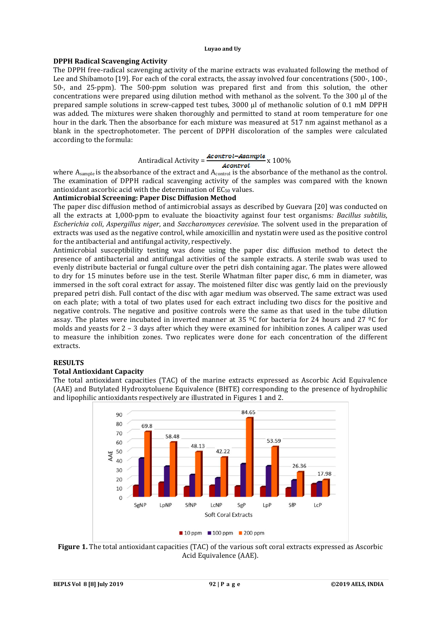### **DPPH Radical Scavenging Activity**

The DPPH free-radical scavenging activity of the marine extracts was evaluated following the method of Lee and Shibamoto [19]. For each of the coral extracts, the assay involved four concentrations (500-, 100-, 50-, and 25-ppm). The 500-ppm solution was prepared first and from this solution, the other concentrations were prepared using dilution method with methanol as the solvent. To the 300 µl of the prepared sample solutions in screw-capped test tubes, 3000 µl of methanolic solution of 0.1 mM DPPH was added. The mixtures were shaken thoroughly and permitted to stand at room temperature for one hour in the dark. Then the absorbance for each mixture was measured at 517 nm against methanol as a blank in the spectrophotometer. The percent of DPPH discoloration of the samples were calculated according to the formula:

# Antiradical Activity =  $\frac{Acontrol - Asample}{Acontrol}$  x 100%

where  $A_{sample}$  is the absorbance of the extract and  $A_{control}$  is the absorbance of the methanol as the control. The examination of DPPH radical scavenging activity of the samples was compared with the known antioxidant ascorbic acid with the determination of  $EC_{50}$  values.

# **Antimicrobial Screening: Paper Disc Diffusion Method**

The paper disc diffusion method of antimicrobial assays as described by Guevara [20] was conducted on all the extracts at 1,000-ppm to evaluate the bioactivity against four test organisms*: Bacillus subtilis*, *Escherichia coli*, *Aspergillus niger*, and *Saccharomyces cerevisiae*. The solvent used in the preparation of extracts was used as the negative control, while amoxicillin and nystatin were used as the positive control for the antibacterial and antifungal activity, respectively.

Antimicrobial susceptibility testing was done using the paper disc diffusion method to detect the presence of antibacterial and antifungal activities of the sample extracts. A sterile swab was used to evenly distribute bacterial or fungal culture over the petri dish containing agar. The plates were allowed to dry for 15 minutes before use in the test. Sterile Whatman filter paper disc, 6 mm in diameter, was immersed in the soft coral extract for assay. The moistened filter disc was gently laid on the previously prepared petri dish. Full contact of the disc with agar medium was observed. The same extract was used on each plate; with a total of two plates used for each extract including two discs for the positive and negative controls. The negative and positive controls were the same as that used in the tube dilution assay. The plates were incubated in inverted manner at 35  $^{\circ}$ C for bacteria for 24 hours and 27  $^{\circ}$ C for molds and yeasts for 2 – 3 days after which they were examined for inhibition zones. A caliper was used to measure the inhibition zones. Two replicates were done for each concentration of the different extracts.

# **RESULTS**

# **Total Antioxidant Capacity**

The total antioxidant capacities (TAC) of the marine extracts expressed as Ascorbic Acid Equivalence (AAE) and Butylated Hydroxytoluene Equivalence (BHTE) corresponding to the presence of hydrophilic and lipophilic antioxidants respectively are illustrated in Figures 1 and 2.



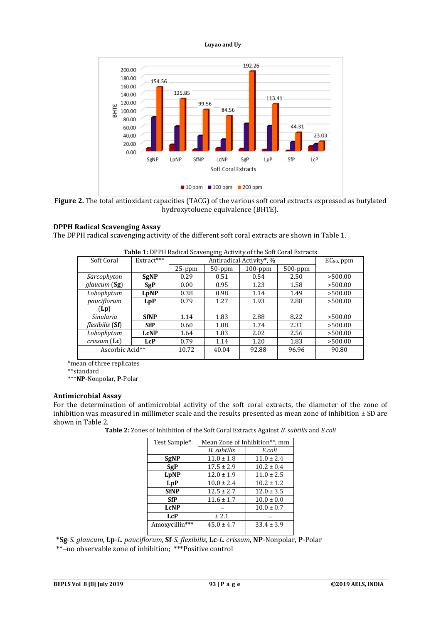

**Figure 2.** The total antioxidant capacities (TACG) of the various soft coral extracts expressed as butylated hydroxytoluene equivalence (BHTE).

#### **DPPH Radical Scavenging Assay**

The DPPH radical scavenging activity of the different soft coral extracts are shown in Table 1.

| Extract***      | Antiradical Activity*, % |           |            |            | $EC_{50}$ , ppm |
|-----------------|--------------------------|-----------|------------|------------|-----------------|
|                 | $25$ -ppm                | $50$ -ppm | $100$ -ppm | $500$ -ppm |                 |
| <b>SgNP</b>     | 0.29                     | 0.51      | 0.54       | 2.50       | >500.00         |
| SgP             | 0.00                     | 0.95      | 1.23       | 1.58       | >500.00         |
| LpNP            | 0.38                     | 0.98      | 1.14       | 1.49       | >500.00         |
| <b>LpP</b>      | 0.79                     | 1.27      | 1.93       | 2.88       | >500.00         |
|                 |                          |           |            |            |                 |
| <b>SfNP</b>     | 1.14                     | 1.83      | 2.88       | 8.22       | >500.00         |
| <b>SfP</b>      | 0.60                     | 1.08      | 1.74       | 2.31       | >500.00         |
| <b>LcNP</b>     | 1.64                     | 1.83      | 2.02       | 2.56       | >500.00         |
| <b>LcP</b>      | 0.79                     | 1.14      | 1.20       | 1.83       | >500.00         |
| Ascorbic Acid** | 10.72                    | 40.04     | 92.88      | 96.96      | 90.80           |
|                 |                          |           |            |            |                 |

\*mean of three replicates

\*\*standard

\*\*\***NP**-Nonpolar, **P**-Polar

#### **Antimicrobial Assay**

For the determination of antimicrobial activity of the soft coral extracts, the diameter of the zone of inhibition was measured in millimeter scale and the results presented as mean zone of inhibition  $\pm$  SD are shown in Table 2.

**Table 2:** Zones of Inhibition of the Soft Coral Extracts Against *B. subtilis* and *E.coli*

| Test Sample*   | Mean Zone of Inhibition**, mm |                |  |  |
|----------------|-------------------------------|----------------|--|--|
|                | B. subtilis                   | E.coli         |  |  |
| <b>SgNP</b>    | $11.0 \pm 1.8$                | $11.0 \pm 2.4$ |  |  |
| SgP            | $17.5 \pm 2.9$                | $10.2 \pm 0.4$ |  |  |
| LpNP           | $12.0 \pm 1.9$                | $11.0 \pm 2.5$ |  |  |
| LpP            | $10.0 \pm 2.4$                | $10.2 \pm 1.2$ |  |  |
| <b>SfNP</b>    | $12.5 \pm 2.7$                | $12.0 \pm 3.5$ |  |  |
| <b>SfP</b>     | $11.6 \pm 1.7$                | $10.0 \pm 0.0$ |  |  |
| <b>LcNP</b>    |                               | $10.0 \pm 0.7$ |  |  |
| <b>LcP</b>     | ± 2.1                         |                |  |  |
| Amoxycillin*** | $45.0 \pm 4.7$                | $33.4 \pm 3.9$ |  |  |

 \***Sg**-*S. glaucum*, **Lp**-*L. pauciflorum*, **Sf**-*S. flexibilis*, **Lc**-*L. crissum*, **NP**-Nonpolar, **P**-Polar \*\*no observable zone of inhibition;\*\*\*Positive control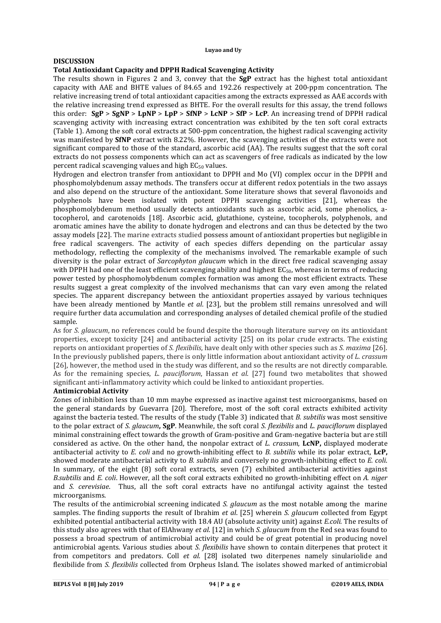## **DISCUSSION**

## **Total Antioxidant Capacity and DPPH Radical Scavenging Activity**

The results shown in Figures 2 and 3, convey that the **SgP** extract has the highest total antioxidant capacity with AAE and BHTE values of 84.65 and 192.26 respectively at 200-ppm concentration. The relative increasing trend of total antioxidant capacities among the extracts expressed as AAE accords with the relative increasing trend expressed as BHTE. For the overall results for this assay, the trend follows this order: **SgP** > **SgNP** > **LpNP** > **LpP** > **SfNP** > **LcNP** > **SfP** > **LcP**. An increasing trend of DPPH radical scavenging activity with increasing extract concentration was exhibited by the ten soft coral extracts (Table 1). Among the soft coral extracts at 500-ppm concentration, the highest radical scavenging activity was manifested by **SfNP** extract with 8.22%. However, the scavenging activities of the extracts were not significant compared to those of the standard, ascorbic acid (AA). The results suggest that the soft coral extracts do not possess components which can act as scavengers of free radicals as indicated by the low percent radical scavenging values and high  $EC_{50}$  values.

Hydrogen and electron transfer from antioxidant to DPPH and Mo (VI) complex occur in the DPPH and phosphomolybdenum assay methods. The transfers occur at different redox potentials in the two assays and also depend on the structure of the antioxidant. Some literature shows that several flavonoids and polyphenols have been isolated with potent DPPH scavenging activities [21], whereas the phosphomolybdenum method usually detects antioxidants such as ascorbic acid, some phenolics, atocopherol, and carotenoids [18]. Ascorbic acid, glutathione, cysteine, tocopherols, polyphenols, and aromatic amines have the ability to donate hydrogen and electrons and can thus be detected by the two assay models [22]. The marine extracts studied possess amount of antioxidant properties but negligible in free radical scavengers. The activity of each species differs depending on the particular assay methodology, reflecting the complexity of the mechanisms involved. The remarkable example of such diversity is the polar extract of *Sarcophyton glaucum* which in the direct free radical scavenging assay with DPPH had one of the least efficient scavenging ability and highest  $EC_{50}$ , whereas in terms of reducing power tested by phosphomolybdenum complex formation was among the most efficient extracts. These results suggest a great complexity of the involved mechanisms that can vary even among the related species. The apparent discrepancy between the antioxidant properties assayed by various techniques have been already mentioned by Mantle *et al*. [23], but the problem still remains unresolved and will require further data accumulation and corresponding analyses of detailed chemical profile of the studied sample.

As for *S. glaucum*, no references could be found despite the thorough literature survey on its antioxidant properties, except toxicity [24] and antibacterial activity [25] on its polar crude extracts. The existing reports on antioxidant properties of *S. flexibilis*, have dealt only with other species such as *S. maxima* [26]. In the previously published papers, there is only little information about antioxidant activity of *L. crassum* [26], however, the method used in the study was different, and so the results are not directly comparable. As for the remaining species, *L. pauciflorum*, Hassan *et al*. [27] found two metabolites that showed significant anti-inflammatory activity which could be linked to antioxidant properties.

#### **Antimicrobial Activity**

Zones of inhibition less than 10 mm maybe expressed as inactive against test microorganisms, based on the general standards by Guevarra [20]. Therefore, most of the soft coral extracts exhibited activity against the bacteria tested. The results of the study (Table 3) indicated that *B. subtilis* was most sensitive to the polar extract of *S. glaucum***, SgP**. Meanwhile, the soft coral *S. flexibilis* and *L. pauciflorum* displayed minimal constraining effect towards the growth of Gram-positive and Gram-negative bacteria but are still considered as active. On the other hand, the nonpolar extract of *L. crassum*, **LcNP,** displayed moderate antibacterial activity to *E. coli* and no growth-inhibiting effect to *B. subtilis* while its polar extract, **LcP,**  showed moderate antibacterial activity to *B. subtilis* and conversely no growth-inhibiting effect to *E. coli*. In summary, of the eight (8) soft coral extracts, seven (7) exhibited antibacterial activities against *B.subtilis* and *E. coli*. However, all the soft coral extracts exhibited no growth-inhibiting effect on *A. niger*  and *S. cerevisiae*. Thus, all the soft coral extracts have no antifungal activity against the tested microorganisms.

The results of the antimicrobial screening indicated *S. glaucum* as the most notable among the marine samples. The finding supports the result of Ibrahim *et al*. [25] wherein *S. glaucum* collected from Egypt exhibited potential antibacterial activity with 18.4 AU (absolute activity unit) against *E.coli.* The results of this study also agrees with that of ElAhwany *et al*. [12] in which *S. glaucum* from the Red sea was found to possess a broad spectrum of antimicrobial activity and could be of great potential in producing novel antimicrobial agents. Various studies about *S. flexibilis* have shown to contain diterpenes that protect it from competitors and predators. Coll *et al*. [28] isolated two diterpenes namely sinulariolide and flexibilide from *S. flexibilis* collected from Orpheus Island. The isolates showed marked of antimicrobial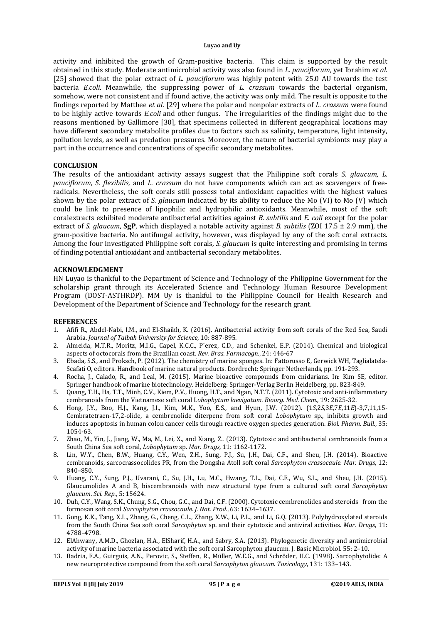activity and inhibited the growth of Gram-positive bacteria. This claim is supported by the result obtained in this study. Moderate antimicrobial activity was also found in *L. pauciflorum*, yet Ibrahim *et al*. [25] showed that the polar extract of *L. pauciflorum* was highly potent with 25.0 AU towards the test bacteria *E.coli*. Meanwhile, the suppressing power of *L. crassum* towards the bacterial organism, somehow, were not consistent and if found active, the activity was only mild. The result is opposite to the findings reported by Matthee *et al*. [29] where the polar and nonpolar extracts of *L. crassum* were found to be highly active towards *E.coli* and other fungus. The irregularities of the findings might due to the reasons mentioned by Gallimore [30], that specimens collected in different geographical locations may have different secondary metabolite profiles due to factors such as salinity, temperature, light intensity, pollution levels, as well as predation pressures. Moreover, the nature of bacterial symbionts may play a part in the occurrence and concentrations of specific secondary metabolites.

#### **CONCLUSION**

The results of the antioxidant activity assays suggest that the Philippine soft corals *S. glaucum, L. pauciflorum, S. flexibilis,* and *L. crassum* do not have components which can act as scavengers of freeradicals. Nevertheless, the soft corals still possess total antioxidant capacities with the highest values shown by the polar extract of *S. glaucum* indicated by its ability to reduce the Mo (VI) to Mo (V) which could be link to presence of lipophilic and hydrophilic antioxidants. Meanwhile, most of the soft coralextracts exhibited moderate antibacterial activities against *B. subtilis* and *E. coli* except for the polar extract of *S. glaucum*, **SgP**, which displayed a notable activity against *B. subtilis* (ZOI 17.5 ± 2.9 mm), the gram-positive bacteria. No antifungal activity, however, was displayed by any of the soft coral extracts. Among the four investigated Philippine soft corals, *S. glaucum* is quite interesting and promising in terms of finding potential antioxidant and antibacterial secondary metabolites.

#### **ACKNOWLEDGMENT**

HN Luyao is thankful to the Department of Science and Technology of the Philippine Government for the scholarship grant through its Accelerated Science and Technology Human Resource Development Program (DOST-ASTHRDP). MM Uy is thankful to the Philippine Council for Health Research and Development of the Department of Science and Technology for the research grant.

#### **REFERENCES**

- 1. Afifi R., Abdel-Nabi, I.M., and El-Shaikh, K. (2016). Antibacterial activity from soft corals of the Red Sea, Saudi Arabia. *Journal of Taibah University for Science*, 10: 887-895.
- 2. Almeida, M.T.R., Moritz, M.I.G., Capel, K.C.C., P´erez, C.D., and Schenkel, E.P. (2014). Chemical and biological aspects of octocorals from the Brazilian coast. *Rev. Bras. Farmacogn.*, 24: 446-67
- 3. Ebada, S.S., and Proksch, P. (2012). The chemistry of marine sponges. In: Fattorusso E, Gerwick WH, Taglialatela-Scafati O, editors. Handbook of marine natural products. Dordrecht: Springer Netherlands, pp. 191-293.
- 4. Rocha, J., Calado, R., and Leal, M. (2015). Marine bioactive compounds from cnidarians. In: Kim SE, editor. Springer handbook of marine biotechnology. Heidelberg: Springer-Verlag Berlin Heidelberg, pp. 823-849.
- 5. Quang, T.H., Ha, T.T., Minh, C.V., Kiem, P.V., Huong, H.T., and Ngan, N.T.T. (2011). Cytotoxic and anti-inflammatory cembranoids from the Vietnamese soft coral L*obophytum laevigatum*. *Bioorg. Med. Chem.*, 19: 2625-32.
- 6. Hong, J.Y., Boo, H.J., Kang, J.I., Kim, M.K., Yoo, E.S., and Hyun, J.W. (2012). (1*S*,2*S*,3*E*,7*E*,11*E*)-3,7,11,15- Cembratetraen-17,2-olide, a cembrenolide diterpene from soft coral *Lobophytum* sp., inhibits growth and induces apoptosis in human colon cancer cells through reactive oxygen species generation. *Biol. Pharm. Bull.*, 35: 1054-63.
- 7. Zhao, M., Yin, J., Jiang, W., Ma, M., Lei, X., and Xiang, Z.. (2013). Cytotoxic and antibacterial cembranoids from a South China Sea soft coral, *Lobophytum* sp. *Mar. Drugs*, 11: 1162-1172.
- Lin, W.Y., Chen, B.W., Huang, C.Y., Wen, Z.H., Sung, P.J., Su, J.H., Dai, C.F., and Sheu, J.H. (2014). Bioactive cembranoids, sarcocrassocolides PR, from the Dongsha Atoll soft coral *Sarcophyton crassocaule. Mar. Drugs*, 12: 840–850.
- 9. Huang, C.Y., Sung, P.J., Uvarani, C., Su, J.H., Lu, M.C., Hwang, T.L., Dai, C.F., Wu, S.L., and Sheu, J.H. (2015). Glaucumolides A and B, biscembranoids with new structural type from a cultured soft coral *Sarcophyton glaucum*. *Sci. Rep.*, 5: 15624.
- 10. Duh, C.Y., Wang, S.K., Chung, S.G., Chou, G.C., and Dai, C.F. (2000). Cytotoxic cembrenolides and steroids from the formosan soft coral *Sarcophyton crassocaule*. *J. Nat. Prod.*, 63: 1634–1637.
- 11. Gong, K.K., Tang, X.L., Zhang, G., Cheng, C.L., Zhang, X.W., Li, P.L., and Li, G.Q. (2013). Polyhydroxylated steroids from the South China Sea soft coral *Sarcophyton* sp. and their cytotoxic and antiviral activities. *Mar. Drugs*, 11: 4788–4798.
- 12. ElAhwany, A.M.D., Ghozlan, H.A., ElSharif, H.A., and Sabry, S.A**.** (2013). Phylogenetic diversity and antimicrobial activity of marine bacteria associated with the soft coral Sarcophyton glaucum. J. Basic Microbiol. 55: 2–10.
- 13. Badria, F.A., Guirguis, A.N., Perovic, S., Steffen, R., Müller, W.E.G., and Schröder, H.C. (1998)**.** Sarcophytolide: A new neuroprotective compound from the soft coral *Sarcophyton glaucum*. *Toxicology*, 131: 133–143.